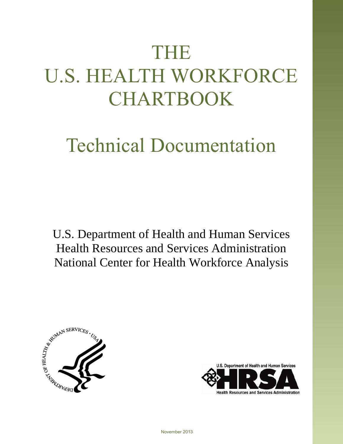# THE U.S. HEALTH WORKFORCE CHARTBOOK

## Technical Documentation

U.S. Department of Health and Human Services Health Resources and Services Administration National Center for Health Workforce Analysis





**Health Resources and Services Administration**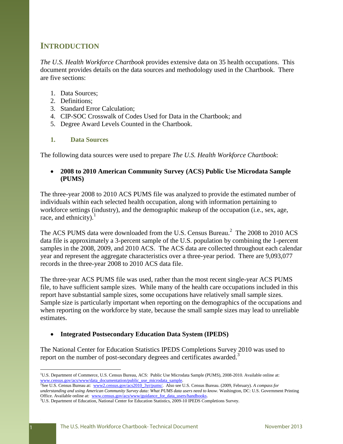### **INTRODUCTION**

*The U.S. Health Workforce Chartbook* provides extensive data on 35 health occupations. This document provides details on the data sources and methodology used in the Chartbook. There are five sections:

- 1. Data Sources;
- 2. Definitions;
- 3. Standard Error Calculation;
- 4. CIP-SOC Crosswalk of Codes Used for Data in the Chartbook; and
- 5. Degree Award Levels Counted in the Chartbook.

#### **1. Data Sources**

The following data sources were used to prepare *The U.S. Health Workforce Chartbook*:

#### **2008 to 2010 American Community Survey (ACS) Public Use Microdata Sample (PUMS)**

The three-year 2008 to 2010 ACS PUMS file was analyzed to provide the estimated number of individuals within each selected health occupation, along with information pertaining to workforce settings (industry), and the demographic makeup of the occupation (i.e., sex, age, race, and ethnicity). $\frac{1}{1}$ 

The ACS PUMS data were downloaded from the U.S. Census Bureau.<sup>2</sup> The 2008 to 2010 ACS data file is approximately a 3-percent sample of the U.S. population by combining the 1-percent samples in the 2008, 2009, and 2010 ACS. The ACS data are collected throughout each calendar year and represent the aggregate characteristics over a three-year period. There are 9,093,077 records in the three-year 2008 to 2010 ACS data file.

The three-year ACS PUMS file was used, rather than the most recent single-year ACS PUMS file, to have sufficient sample sizes. While many of the health care occupations included in this report have substantial sample sizes, some occupations have relatively small sample sizes. Sample size is particularly important when reporting on the demographics of the occupations and when reporting on the workforce by state, because the small sample sizes may lead to unreliable estimates.

#### **Integrated Postsecondary Education Data System (IPEDS)**

The National Center for Education Statistics IPEDS Completions Survey 2010 was used to report on the number of post-secondary degrees and certificates awarded.<sup>3</sup>

<sup>&</sup>lt;sup>1</sup>U.S. Department of Commerce, U.S. Census Bureau, ACS: Public Use Microdata Sample (PUMS), 2008-2010. Available online at: www.census.gov/acs/www/data\_documentation/public\_use\_microdata\_sample.

<sup>&</sup>lt;sup>2</sup>See U.S. Census Bureau at: [www2.census.gov/acs2010\\_3yr/pums/.](file://gss-fs1/shares/BHPR/NCWA/Staff/Nadra/US%20Health%20Workforce%20Chartbook/Chartbook/Final%20Edited%20Versions%20-%20October%202013/www2.census.gov/acs2010_3yr/pums/) Also see U.S. Census Bureau. (2009, February). *A compass for understanding and using American Community Survey data: What PUMS data users need to know.* Washington, DC: U.S. Government Printing Office. Available online at: [www.census.gov/acs/www/guidance\\_for\\_data\\_users/handbooks.](http://www.census.gov/acs/www/guidance_for_data_users/handbooks)

<sup>&</sup>lt;sup>3</sup>U.S. Department of Education, National Center for Education Statistics, 2009-10 IPEDS Completions Survey.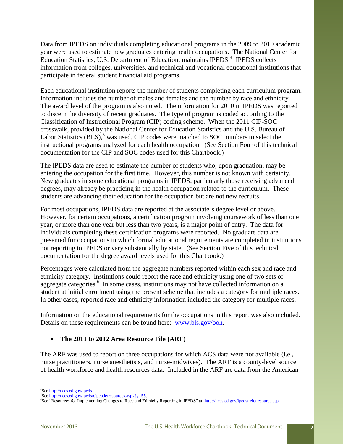Data from IPEDS on individuals completing educational programs in the 2009 to 2010 academic year were used to estimate new graduates entering health occupations. The National Center for Education Statistics, U.S. Department of Education, maintains IPEDS.<sup>4</sup> IPEDS collects information from colleges, universities, and technical and vocational educational institutions that participate in federal student financial aid programs.

Each educational institution reports the number of students completing each curriculum program. Information includes the number of males and females and the number by race and ethnicity. The award level of the program is also noted. The information for 2010 in IPEDS was reported to discern the diversity of recent graduates. The type of program is coded according to the Classification of Instructional Program (CIP) coding scheme. When the 2011 CIP-SOC crosswalk, provided by the National Center for Education Statistics and the U.S. Bureau of Labor Statistics  $(BLS)$ , was used, CIP codes were matched to SOC numbers to select the instructional programs analyzed for each health occupation. (See Section Four of this technical documentation for the CIP and SOC codes used for this Chartbook.)

The IPEDS data are used to estimate the number of students who, upon graduation, may be entering the occupation for the first time. However, this number is not known with certainty. New graduates in some educational programs in IPEDS, particularly those receiving advanced degrees, may already be practicing in the health occupation related to the curriculum. These students are advancing their education for the occupation but are not new recruits.

For most occupations, IPEDS data are reported at the associate's degree level or above. However, for certain occupations, a certification program involving coursework of less than one year, or more than one year but less than two years, is a major point of entry. The data for individuals completing these certification programs were reported. No graduate data are presented for occupations in which formal educational requirements are completed in institutions not reporting to IPEDS or vary substantially by state. (See Section Five of this technical documentation for the degree award levels used for this Chartbook.)

Percentages were calculated from the aggregate numbers reported within each sex and race and ethnicity category. Institutions could report the race and ethnicity using one of two sets of aggregate categories.<sup>6</sup> In some cases, institutions may not have collected information on a student at initial enrollment using the present scheme that includes a category for multiple races. In other cases, reported race and ethnicity information included the category for multiple races.

Information on the educational requirements for the occupations in this report was also included. Details on these requirements can be found here: [www.bls.gov/ooh.](file://gss-fs1/shares/BHPR/NCWA/Staff/Nadra/US%20Health%20Workforce%20Chartbook/Chartbook/Final%20Edited%20Versions%20-%20October%202013/www.bls.gov/ooh)

#### **The 2011 to 2012 Area Resource File (ARF)**

The ARF was used to report on three occupations for which ACS data were not available (i.e., nurse practitioners, nurse anesthetists, and nurse-midwives). The ARF is a county-level source of health workforce and health resources data. Included in the ARF are data from the American

<sup>&</sup>lt;sup>4</sup>See http://nces.ed.gov/ipeds.

<sup>&</sup>lt;sup>5</sup>See http://nces.ed.gov/ipeds/cipcode/resources.aspx?y=55.

<sup>&</sup>lt;sup>6</sup>See "Resources for Implementing Changes to Race and Ethnicity Reporting in IPEDS" at: http://nces.ed.gov/ipeds/reic/resource.asp.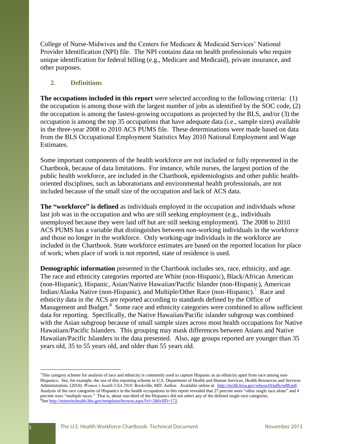College of Nurse-Midwives and the Centers for Medicare & Medicaid Services' National Provider Identification (NPI) file. The NPI contains data on health professionals who require unique identification for federal billing (e.g., Medicare and Medicaid), private insurance, and other purposes.

#### **2. Definitions**

**The occupations included in this report** were selected according to the following criteria: (1) the occupation is among those with the largest number of jobs as identified by the SOC code, (2) the occupation is among the fastest-growing occupations as projected by the BLS, and/or (3) the occupation is among the top 35 occupations that have adequate data (i.e., sample sizes) available in the three-year 2008 to 2010 ACS PUMS file. These determinations were made based on data from the BLS Occupational Employment Statistics May 2010 National Employment and Wage Estimates.

Some important components of the health workforce are not included or fully represented in the Chartbook, because of data limitations. For instance, while nurses, the largest portion of the public health workforce, are included in the Chartbook, epidemiologists and other public healthoriented disciplines, such as laboratorians and environmental health professionals, are not included because of the small size of the occupation and lack of ACS data.

**The "workforce" is defined** as individuals employed in the occupation and individuals whose last job was in the occupation and who are still seeking employment (e.g., individuals unemployed because they were laid off but are still seeking employment). The 2008 to 2010 ACS PUMS has a variable that distinguishes between non-working individuals in the workforce and those no longer in the workforce. Only working-age individuals in the workforce are included in the Chartbook. State workforce estimates are based on the reported location for place of work; when place of work is not reported, state of residence is used.

**Demographic information** presented in the Chartbook includes sex, race, ethnicity, and age. The race and ethnicity categories reported are White (non-Hispanic), Black/African American (non-Hispanic), Hispanic, Asian/Native Hawaiian/Pacific Islander (non-Hispanic), American Indian/Alaska Native (non-Hispanic), and Multiple/Other Race (non-Hispanic).<sup>7</sup> Race and ethnicity data in the ACS are reported according to standards defined by the Office of Management and Budget.<sup>8</sup> Some race and ethnicity categories were combined to allow sufficient data for reporting. Specifically, the Native Hawaiian/Pacific islander subgroup was combined with the Asian subgroup because of small sample sizes across most health occupations for Native Hawaiians/Pacific Islanders. This grouping may mask differences between Asians and Native Hawaiian/Pacific Islanders in the data presented. Also, age groups reported are younger than 35 years old, 35 to 55 years old, and older than 55 years old.

<sup>7</sup>This category scheme for analysis of race and ethnicity is commonly used to capture Hispanic as an ethnicity apart from race among non-Hispanics. See, for example, the use of this reporting scheme in U.S. Department of Health and Human Services, Health Resources and Services Administration. (2010). *Women's health USA 2010*. Rockville, MD: Author. Available online at: [http://mchb.hrsa.gov/whusa10/pdfs/w08.pdf.](http://mchb.hrsa.gov/whusa10/pdfs/w08.pdf)  Analysis of the race categories of Hispanics in the health occupations in this report revealed that 27 percent were "other single race alone" and 4 percent were "multiple races." That is, about one-third of the Hispanics did not select any of the defined single race categories. <sup>8</sup>Se[e http://minorityhealth.hhs.gov/templates/browse.aspx?lvl=2&lvlID=172.](http://minorityhealth.hhs.gov/templates/browse.aspx?lvl=2&lvlID=172)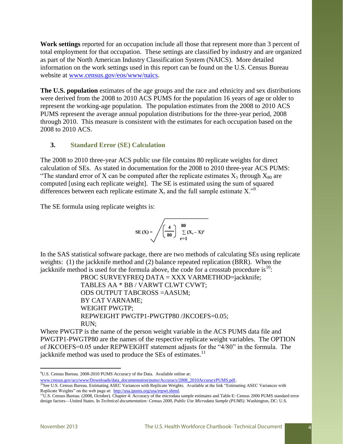**Work settings** reported for an occupation include all those that represent more than 3 percent of total employment for that occupation. These settings are classified by industry and are organized as part of the North American Industry Classification System (NAICS). More detailed information on the work settings used in this report can be found on the U.S. Census Bureau website at [www.census.gov/eos/www/naics.](file://gss-fs1/shares/BHPR/NCWA/Staff/Nadra/US%20Health%20Workforce%20Chartbook/Chartbook/Final%20Edited%20Versions%20-%20October%202013/www.census.gov/eos/www/naics)

**The U.S. population** estimates of the age groups and the race and ethnicity and sex distributions were derived from the 2008 to 2010 ACS PUMS for the population 16 years of age or older to represent the working-age population. The population estimates from the 2008 to 2010 ACS PUMS represent the average annual population distributions for the three-year period, 2008 through 2010. This measure is consistent with the estimates for each occupation based on the 2008 to 2010 ACS.

#### **3. Standard Error (SE) Calculation**

The 2008 to 2010 three-year ACS public use file contains 80 replicate weights for direct calculation of SEs. As stated in documentation for the 2008 to 2010 three-year ACS PUMS: "The standard error of X can be computed after the replicate estimates  $X_1$  through  $X_{80}$  are computed [using each replicate weight]. The SE is estimated using the sum of squared differences between each replicate estimate  $X_r$  and the full sample estimate  $X_{\cdot}$ <sup>9</sup>

The SE formula using replicate weights is:

$$
\text{SE}(\mathbf{X}) = \sqrt{\left(\frac{4}{80}\right)} \sum_{r=1}^{80} (\mathbf{X}_r - \mathbf{X})^2
$$

In the SAS statistical software package, there are two methods of calculating SEs using replicate weights: (1) the jackknife method and (2) balance repeated replication (BRR). When the jackknife method is used for the formula above, the code for a crosstab procedure is  $10$ :

> PROC SURVEYFREQ DATA = XXX VARMETHOD=jackknife; TABLES AA \* BB / VARWT CLWT CVWT; ODS OUTPUT TABCROSS =AASUM; BY CAT VARNAME; WEIGHT PWGTP; REPWEIGHT PWGTP1-PWGTP80 /JKCOEFS=0.05; RUN;

Where PWGTP is the name of the person weight variable in the ACS PUMS data file and PWGTP1-PWGTP80 are the names of the respective replicate weight variables. The OPTION of JKCOEFS=0.05 under REPWEIGHT statement adjusts for the "4/80" in the formula. The jackknife method was used to produce the SEs of estimates.<sup>11</sup>

<sup>9</sup>U.S. Census Bureau. 2008-2010 PUMS Accuracy of the Data. Available online at:

[www.census.gov/acs/www/Downloads/data\\_documentation/pums/Accuracy/2008\\_2010AccuracyPUMS.pdf](file://gss-fs1/shares/BHPR/NCWA/Staff/Nadra/US%20Health%20Workforce%20Chartbook/Chartbook/Final%20Edited%20Versions%20-%20October%202013/www.census.gov/acs/www/Downloads/data_documentation/pums/Accuracy/2008_2010AccuracyPUMS.pdf).

<sup>&</sup>lt;sup>10</sup>See U.S. Census Bureau. Estimating ASEC Variances with Replicate Weights. Available at the link "Estimating ASEC Variances with Replicate Weights" on the web page at: [http://usa.ipums.org/usa/repwt.shtml.](http://usa.ipums.org/usa/repwt.shtml) 

<sup>11</sup>U.S. Census Bureau. (2008, October). Chapter 4: Accuracy of the microdata sample estimates and Table E: Census 2000 PUMS standard error design factors—United States. In *Technical documentation: Census 2000, Public Use Microdata Sample (PUMS)*. Washington, DC: U.S.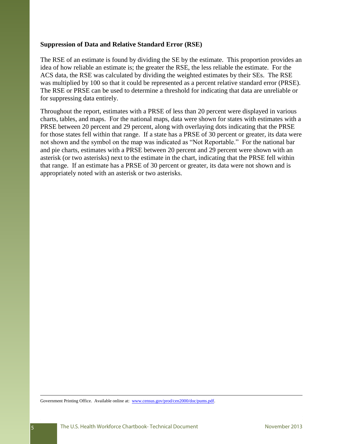#### **Suppression of Data and Relative Standard Error (RSE)**

The RSE of an estimate is found by dividing the SE by the estimate. This proportion provides an idea of how reliable an estimate is; the greater the RSE, the less reliable the estimate. For the ACS data, the RSE was calculated by dividing the weighted estimates by their SEs. The RSE was multiplied by 100 so that it could be represented as a percent relative standard error (PRSE). The RSE or PRSE can be used to determine a threshold for indicating that data are unreliable or for suppressing data entirely.

Throughout the report, estimates with a PRSE of less than 20 percent were displayed in various charts, tables, and maps. For the national maps, data were shown for states with estimates with a PRSE between 20 percent and 29 percent, along with overlaying dots indicating that the PRSE for those states fell within that range. If a state has a PRSE of 30 percent or greater, its data were not shown and the symbol on the map was indicated as "Not Reportable." For the national bar and pie charts, estimates with a PRSE between 20 percent and 29 percent were shown with an asterisk (or two asterisks) next to the estimate in the chart, indicating that the PRSE fell within that range. If an estimate has a PRSE of 30 percent or greater, its data were not shown and is appropriately noted with an asterisk or two asterisks.

Government Printing Office. Available online at: [www.census.gov/prod/cen2000/doc/pums.pdf.](file://gss-fs1/shares/BHPR/NCWA/Staff/Nadra/US%20Health%20Workforce%20Chartbook/Chartbook/Final%20Edited%20Versions%20-%20October%202013/www.census.gov/prod/cen2000/doc/pums.pdf)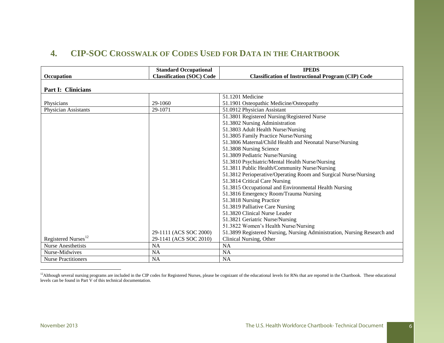## **4. CIP-SOC CROSSWALK OF CODES USED FOR DATA IN THE CHARTBOOK**

|                                 | <b>Standard Occupational</b>     | <b>IPEDS</b>                                                             |
|---------------------------------|----------------------------------|--------------------------------------------------------------------------|
| Occupation                      | <b>Classification (SOC) Code</b> | <b>Classification of Instructional Program (CIP) Code</b>                |
| Part I: Clinicians              |                                  |                                                                          |
|                                 |                                  | 51.1201 Medicine                                                         |
| Physicians                      | 29-1060                          | 51.1901 Osteopathic Medicine/Osteopathy                                  |
| <b>Physician Assistants</b>     | 29-1071                          | 51.0912 Physician Assistant                                              |
|                                 |                                  | 51.3801 Registered Nursing/Registered Nurse                              |
|                                 |                                  | 51.3802 Nursing Administration                                           |
|                                 |                                  | 51.3803 Adult Health Nurse/Nursing                                       |
|                                 |                                  | 51.3805 Family Practice Nurse/Nursing                                    |
|                                 |                                  | 51.3806 Maternal/Child Health and Neonatal Nurse/Nursing                 |
|                                 |                                  | 51.3808 Nursing Science                                                  |
|                                 |                                  | 51.3809 Pediatric Nurse/Nursing                                          |
|                                 |                                  | 51.3810 Psychiatric/Mental Health Nurse/Nursing                          |
|                                 |                                  | 51.3811 Public Health/Community Nurse/Nursing                            |
|                                 |                                  | 51.3812 Perioperative/Operating Room and Surgical Nurse/Nursing          |
|                                 |                                  | 51.3814 Critical Care Nursing                                            |
|                                 |                                  | 51.3815 Occupational and Environmental Health Nursing                    |
|                                 |                                  | 51.3816 Emergency Room/Trauma Nursing                                    |
|                                 |                                  | 51.3818 Nursing Practice                                                 |
|                                 |                                  | 51.3819 Palliative Care Nursing                                          |
|                                 |                                  | 51.3820 Clinical Nurse Leader                                            |
|                                 |                                  | 51.3821 Geriatric Nurse/Nursing                                          |
|                                 |                                  | 51.3822 Women's Health Nurse/Nursing                                     |
|                                 | 29-1111 (ACS SOC 2000)           | 51.3899 Registered Nursing, Nursing Administration, Nursing Research and |
| Registered Nurses <sup>12</sup> | 29-1141 (ACS SOC 2010)           | Clinical Nursing, Other                                                  |
| <b>Nurse Anesthetists</b>       | <b>NA</b>                        | <b>NA</b>                                                                |
| Nurse-Midwives                  | <b>NA</b>                        | <b>NA</b>                                                                |
| <b>Nurse Practitioners</b>      | <b>NA</b>                        | <b>NA</b>                                                                |

<sup>12</sup>Although several nursing programs are included in the CIP codes for Registered Nurses, please be cognizant of the educational levels for RNs that are reported in the Chartbook. These educational levels can be found in Part V of this technical documentation.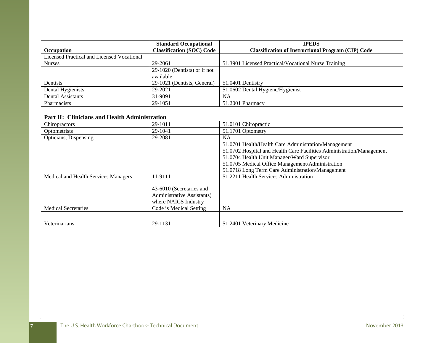|                                                   | <b>Standard Occupational</b>     | <b>IPEDS</b>                                                          |
|---------------------------------------------------|----------------------------------|-----------------------------------------------------------------------|
| Occupation                                        | <b>Classification (SOC) Code</b> | <b>Classification of Instructional Program (CIP) Code</b>             |
| <b>Licensed Practical and Licensed Vocational</b> |                                  |                                                                       |
| <b>Nurses</b>                                     | 29-2061                          | 51.3901 Licensed Practical/Vocational Nurse Training                  |
|                                                   | 29-1020 (Dentists) or if not     |                                                                       |
|                                                   | available                        |                                                                       |
| Dentists                                          | 29-1021 (Dentists, General)      | 51.0401 Dentistry                                                     |
| Dental Hygienists                                 | 29-2021                          | 51.0602 Dental Hygiene/Hygienist                                      |
| Dental Assistants                                 | 31-9091                          | <b>NA</b>                                                             |
| Pharmacists                                       | 29-1051                          | 51.2001 Pharmacy                                                      |
|                                                   |                                  |                                                                       |
| Part II: Clinicians and Health Administration     |                                  |                                                                       |
| Chiropractors                                     | 29-1011                          | 51.0101 Chiropractic                                                  |
| Optometrists                                      | 29-1041                          | 51.1701 Optometry                                                     |
| Opticians, Dispensing                             | 29-2081                          | <b>NA</b>                                                             |
|                                                   |                                  | 51.0701 Health/Health Care Administration/Management                  |
|                                                   |                                  | 51.0702 Hospital and Health Care Facilities Administration/Management |
|                                                   |                                  | 51.0704 Health Unit Manager/Ward Supervisor                           |
|                                                   |                                  | 51.0705 Medical Office Management/Administration                      |
|                                                   |                                  | 51.0718 Long Term Care Administration/Management                      |
| Medical and Health Services Managers              | 11-9111                          | 51.2211 Health Services Administration                                |
|                                                   |                                  |                                                                       |
|                                                   | 43-6010 (Secretaries and         |                                                                       |
|                                                   | Administrative Assistants)       |                                                                       |
|                                                   | where NAICS Industry             |                                                                       |
| <b>Medical Secretaries</b>                        | Code is Medical Setting          | <b>NA</b>                                                             |
|                                                   |                                  |                                                                       |
| Veterinarians                                     | 29-1131                          | 51.2401 Veterinary Medicine                                           |

17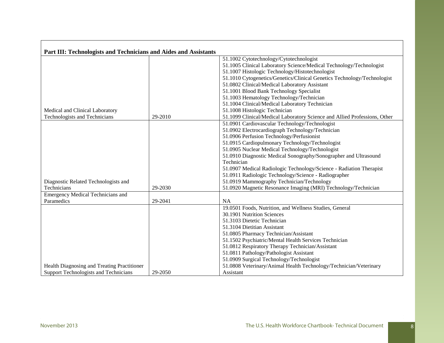| Part III: Technologists and Technicians and Aides and Assistants |         |                                                                           |
|------------------------------------------------------------------|---------|---------------------------------------------------------------------------|
|                                                                  |         | 51.1002 Cytotechnology/Cytotechnologist                                   |
|                                                                  |         | 51.1005 Clinical Laboratory Science/Medical Technology/Technologist       |
|                                                                  |         | 51.1007 Histologic Technology/Histotechnologist                           |
|                                                                  |         | 51.1010 Cytogenetics/Genetics/Clinical Genetics Technology/Technologist   |
|                                                                  |         | 51.0802 Clinical/Medical Laboratory Assistant                             |
|                                                                  |         | 51.1001 Blood Bank Technology Specialist                                  |
|                                                                  |         | 51.1003 Hematology Technology/Technician                                  |
|                                                                  |         | 51.1004 Clinical/Medical Laboratory Technician                            |
| Medical and Clinical Laboratory                                  |         | 51.1008 Histologic Technician                                             |
| Technologists and Technicians                                    | 29-2010 | 51.1099 Clinical/Medical Laboratory Science and Allied Professions, Other |
|                                                                  |         | 51.0901 Cardiovascular Technology/Technologist                            |
|                                                                  |         | 51.0902 Electrocardiograph Technology/Technician                          |
|                                                                  |         | 51.0906 Perfusion Technology/Perfusionist                                 |
|                                                                  |         | 51.0915 Cardiopulmonary Technology/Technologist                           |
|                                                                  |         | 51.0905 Nuclear Medical Technology/Technologist                           |
|                                                                  |         | 51.0910 Diagnostic Medical Sonography/Sonographer and Ultrasound          |
|                                                                  |         | Technician                                                                |
|                                                                  |         | 51.0907 Medical Radiologic Technology/Science - Radiation Therapist       |
|                                                                  |         | 51.0911 Radiologic Technology/Science - Radiographer                      |
| Diagnostic Related Technologists and                             |         | 51.0919 Mammography Technician/Technology                                 |
| Technicians                                                      | 29-2030 | 51.0920 Magnetic Resonance Imaging (MRI) Technology/Technician            |
| <b>Emergency Medical Technicians and</b>                         |         |                                                                           |
| Paramedics                                                       | 29-2041 | <b>NA</b>                                                                 |
|                                                                  |         | 19.0501 Foods, Nutrition, and Wellness Studies, General                   |
|                                                                  |         | 30.1901 Nutrition Sciences                                                |
|                                                                  |         | 51.3103 Dietetic Technician                                               |
|                                                                  |         | 51.3104 Dietitian Assistant                                               |
|                                                                  |         | 51.0805 Pharmacy Technician/Assistant                                     |
|                                                                  |         | 51.1502 Psychiatric/Mental Health Services Technician                     |
|                                                                  |         | 51.0812 Respiratory Therapy Technician/Assistant                          |
|                                                                  |         | 51.0811 Pathology/Pathologist Assistant                                   |
|                                                                  |         | 51.0909 Surgical Technology/Technologist                                  |
| Health Diagnosing and Treating Practitioner                      |         | 51.0808 Veterinary/Animal Health Technology/Technician/Veterinary         |
| Support Technologists and Technicians                            | 29-2050 | Assistant                                                                 |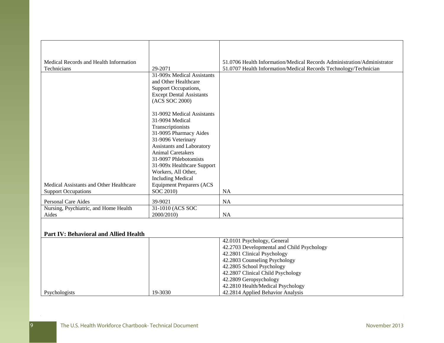| Medical Records and Health Information       |                                 | 51.0706 Health Information/Medical Records Administration/Administrator |
|----------------------------------------------|---------------------------------|-------------------------------------------------------------------------|
| Technicians                                  | 29-2071                         | 51.0707 Health Information/Medical Records Technology/Technician        |
|                                              | 31-909x Medical Assistants      |                                                                         |
|                                              | and Other Healthcare            |                                                                         |
|                                              | Support Occupations,            |                                                                         |
|                                              | <b>Except Dental Assistants</b> |                                                                         |
|                                              | (ACS SOC 2000)                  |                                                                         |
|                                              |                                 |                                                                         |
|                                              | 31-9092 Medical Assistants      |                                                                         |
|                                              | 31-9094 Medical                 |                                                                         |
|                                              | Transcriptionists               |                                                                         |
|                                              | 31-9095 Pharmacy Aides          |                                                                         |
|                                              | 31-9096 Veterinary              |                                                                         |
|                                              | Assistants and Laboratory       |                                                                         |
|                                              | <b>Animal Caretakers</b>        |                                                                         |
|                                              | 31-9097 Phlebotomists           |                                                                         |
|                                              | 31-909x Healthcare Support      |                                                                         |
|                                              | Workers, All Other,             |                                                                         |
|                                              | <b>Including Medical</b>        |                                                                         |
| Medical Assistants and Other Healthcare      | <b>Equipment Preparers (ACS</b> |                                                                         |
| <b>Support Occupations</b>                   | SOC 2010)                       | <b>NA</b>                                                               |
| Personal Care Aides                          | 39-9021                         | <b>NA</b>                                                               |
| Nursing, Psychiatric, and Home Health        | 31-1010 (ACS SOC                |                                                                         |
| Aides                                        | 2000/2010)                      | <b>NA</b>                                                               |
|                                              |                                 |                                                                         |
| <b>Part IV: Behavioral and Allied Health</b> |                                 |                                                                         |
|                                              |                                 | 42.0101 Psychology, General                                             |
|                                              |                                 | 42.2703 Developmental and Child Psychology                              |
|                                              |                                 | 42.2801 Clinical Psychology                                             |
|                                              |                                 | 42.2803 Counseling Psychology                                           |

42.2805 School Psychology 42.2807 Clinical Child Psychology

42.2810 Health/Medical Psychology 42.2814 Applied Behavior Analysis

42.2809 Geropsychology

Psychologists 19-3030

9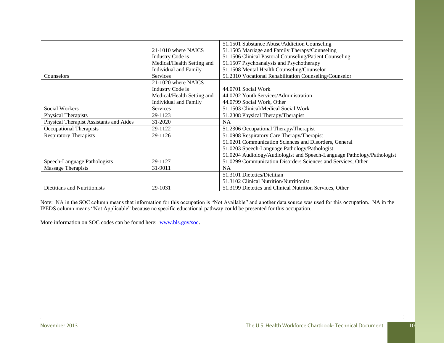|                                         |                              | 51.1501 Substance Abuse/Addiction Counseling                            |
|-----------------------------------------|------------------------------|-------------------------------------------------------------------------|
|                                         | 21-1010 where NAICS          | 51.1505 Marriage and Family Therapy/Counseling                          |
|                                         | Industry Code is             | 51.1506 Clinical Pastoral Counseling/Patient Counseling                 |
|                                         | Medical/Health Setting and   | 51.1507 Psychoanalysis and Psychotherapy                                |
|                                         | <b>Individual and Family</b> | 51.1508 Mental Health Counseling/Counselor                              |
| Counselors                              | <b>Services</b>              | 51.2310 Vocational Rehabilitation Counseling/Counselor                  |
|                                         | 21-1020 where NAICS          |                                                                         |
|                                         | Industry Code is             | 44.0701 Social Work                                                     |
|                                         | Medical/Health Setting and   | 44.0702 Youth Services/Administration                                   |
|                                         | Individual and Family        | 44.0799 Social Work, Other                                              |
| <b>Social Workers</b>                   | Services                     | 51.1503 Clinical/Medical Social Work                                    |
| Physical Therapists                     | 29-1123                      | 51.2308 Physical Therapy/Therapist                                      |
| Physical Therapist Assistants and Aides | 31-2020                      | <b>NA</b>                                                               |
| <b>Occupational Therapists</b>          | 29-1122                      | 51.2306 Occupational Therapy/Therapist                                  |
| <b>Respiratory Therapists</b>           | 29-1126                      | 51.0908 Respiratory Care Therapy/Therapist                              |
|                                         |                              | 51.0201 Communication Sciences and Disorders, General                   |
|                                         |                              | 51.0203 Speech-Language Pathology/Pathologist                           |
|                                         |                              | 51.0204 Audiology/Audiologist and Speech-Language Pathology/Pathologist |
| Speech-Language Pathologists            | 29-1127                      | 51.0299 Communication Disorders Sciences and Services, Other            |
| <b>Massage Therapists</b>               | 31-9011                      | <b>NA</b>                                                               |
|                                         |                              | 51.3101 Dietetics/Dietitian                                             |
|                                         |                              | 51.3102 Clinical Nutrition/Nutritionist                                 |
| Dietitians and Nutritionists            | 29-1031                      | 51.3199 Dietetics and Clinical Nutrition Services, Other                |

Note: NA in the SOC column means that information for this occupation is "Not Available" and another data source was used for this occupation. NA in the IPEDS column means "Not Applicable" because no specific educational pathway could be presented for this occupation.

More information on SOC codes can be found here: [www.bls.gov/soc](file://gss-fs1/shares/BHPR/NCWA/Staff/Nadra/US%20Health%20Workforce%20Chartbook/Chartbook/Final%20Edited%20Versions%20-%20October%202013/www.bls.gov/soc).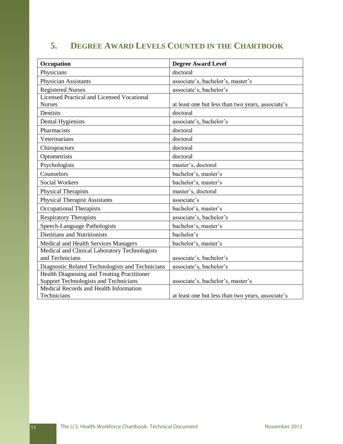## **5. DEGREE AWARD LEVELS COUNTED IN THE CHARTBOOK**

| Occupation                                            | <b>Degree Award Level</b>                         |
|-------------------------------------------------------|---------------------------------------------------|
| Physicians                                            | doctoral                                          |
| <b>Physician Assistants</b>                           | associate's, bachelor's, master's                 |
| <b>Registered Nurses</b>                              | associate's, bachelor's                           |
| <b>Licensed Practical and Licensed Vocational</b>     |                                                   |
| <b>Nurses</b>                                         | at least one but less than two years, associate's |
| Dentists                                              | doctoral                                          |
| Dental Hygienists                                     | associate's, bachelor's                           |
| Pharmacists                                           | doctoral                                          |
| Veterinarians                                         | doctoral                                          |
| Chiropractors                                         | doctoral                                          |
| Optometrists                                          | doctoral                                          |
| Psychologists                                         | master's, doctoral                                |
| Counselors                                            | bachelor's, master's                              |
| <b>Social Workers</b>                                 | bachelor's, master's                              |
| <b>Physical Therapists</b>                            | master's, doctoral                                |
| <b>Physical Therapist Assistants</b>                  | associate's                                       |
| <b>Occupational Therapists</b>                        | bachelor's, master's                              |
| <b>Respiratory Therapists</b>                         | associate's, bachelor's                           |
| Speech-Language Pathologists                          | bachelor's, master's                              |
| <b>Dietitians and Nutritionists</b>                   | bachelor's                                        |
| Medical and Health Services Managers                  | bachelor's, master's                              |
| Medical and Clinical Laboratory Technologists         |                                                   |
| and Technicians                                       | associate's, bachelor's                           |
| Diagnostic Related Technologists and Technicians      | associate's, bachelor's                           |
| Health Diagnosing and Treating Practitioner           |                                                   |
| <b>Support Technologists and Technicians</b>          | associate's, bachelor's, master's                 |
| Medical Records and Health Information<br>Technicians |                                                   |
|                                                       | at least one but less than two years, associate's |